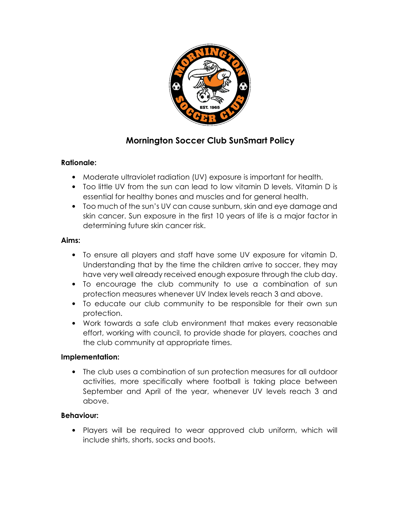

# **Mornington Soccer Club SunSmart Policy**

#### **Rationale:**

- Moderate ultraviolet radiation (UV) exposure is important for health.
- Too little UV from the sun can lead to low vitamin D levels. Vitamin D is essential for healthy bones and muscles and for general health.
- Too much of the sun's UV can cause sunburn, skin and eye damage and skin cancer. Sun exposure in the first 10 years of life is a major factor in determining future skin cancer risk.

#### **Aims:**

- To ensure all players and staff have some UV exposure for vitamin D. Understanding that by the time the children arrive to soccer, they may have very well already received enough exposure through the club day.
- To encourage the club community to use a combination of sun protection measures whenever UV Index levels reach 3 and above.
- To educate our club community to be responsible for their own sun protection.
- Work towards a safe club environment that makes every reasonable effort, working with council, to provide shade for players, coaches and the club community at appropriate times.

# **Implementation:**

• The club uses a combination of sun protection measures for all outdoor activities, more specifically where football is taking place between September and April of the year, whenever UV levels reach 3 and above.

# **Behaviour:**

• Players will be required to wear approved club uniform, which will include shirts, shorts, socks and boots.